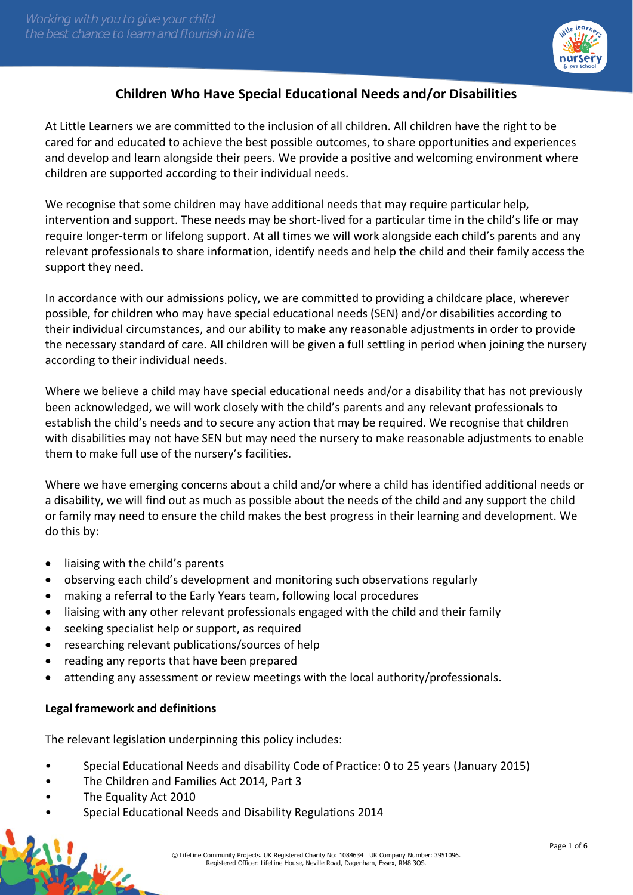

# **Children Who Have Special Educational Needs and/or Disabilities**

At Little Learners we are committed to the inclusion of all children. All children have the right to be cared for and educated to achieve the best possible outcomes, to share opportunities and experiences and develop and learn alongside their peers. We provide a positive and welcoming environment where children are supported according to their individual needs.

We recognise that some children may have additional needs that may require particular help, intervention and support. These needs may be short-lived for a particular time in the child's life or may require longer-term or lifelong support. At all times we will work alongside each child's parents and any relevant professionals to share information, identify needs and help the child and their family access the support they need.

In accordance with our admissions policy, we are committed to providing a childcare place, wherever possible, for children who may have special educational needs (SEN) and/or disabilities according to their individual circumstances, and our ability to make any reasonable adjustments in order to provide the necessary standard of care. All children will be given a full settling in period when joining the nursery according to their individual needs.

Where we believe a child may have special educational needs and/or a disability that has not previously been acknowledged, we will work closely with the child's parents and any relevant professionals to establish the child's needs and to secure any action that may be required. We recognise that children with disabilities may not have SEN but may need the nursery to make reasonable adjustments to enable them to make full use of the nursery's facilities.

Where we have emerging concerns about a child and/or where a child has identified additional needs or a disability, we will find out as much as possible about the needs of the child and any support the child or family may need to ensure the child makes the best progress in their learning and development. We do this by:

- liaising with the child's parents
- observing each child's development and monitoring such observations regularly
- making a referral to the Early Years team, following local procedures
- liaising with any other relevant professionals engaged with the child and their family
- seeking specialist help or support, as required
- researching relevant publications/sources of help
- reading any reports that have been prepared
- attending any assessment or review meetings with the local authority/professionals.

# **Legal framework and definitions**

The relevant legislation underpinning this policy includes:

- Special Educational Needs and disability Code of Practice: 0 to 25 years (January 2015)
- The Children and Families Act 2014, Part 3
- The Equality Act 2010
- Special Educational Needs and Disability Regulations 2014

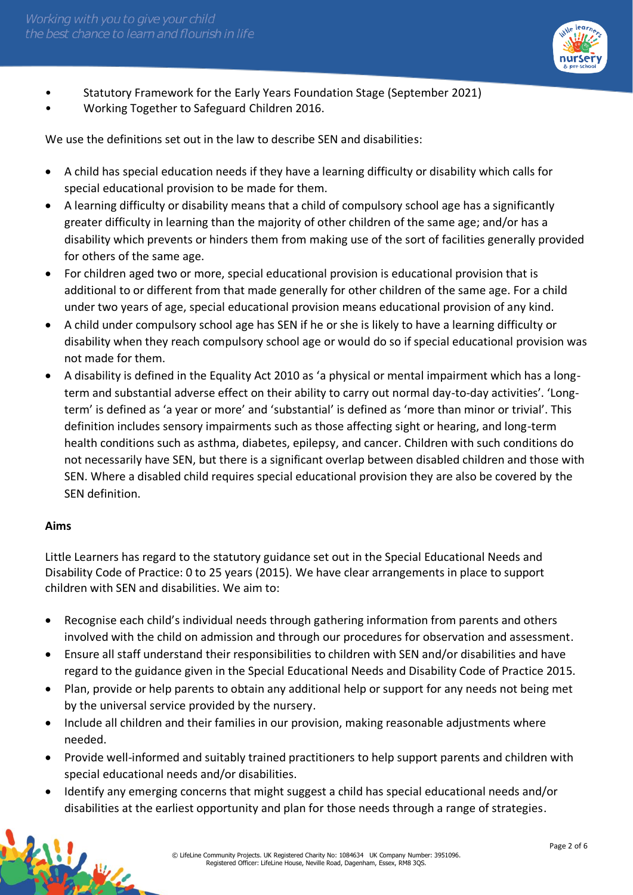

- Statutory Framework for the Early Years Foundation Stage (September 2021)
- Working Together to Safeguard Children 2016.

We use the definitions set out in the law to describe SEN and disabilities:

- A child has special education needs if they have a learning difficulty or disability which calls for special educational provision to be made for them.
- A learning difficulty or disability means that a child of compulsory school age has a significantly greater difficulty in learning than the majority of other children of the same age; and/or has a disability which prevents or hinders them from making use of the sort of facilities generally provided for others of the same age.
- For children aged two or more, special educational provision is educational provision that is additional to or different from that made generally for other children of the same age. For a child under two years of age, special educational provision means educational provision of any kind.
- A child under compulsory school age has SEN if he or she is likely to have a learning difficulty or disability when they reach compulsory school age or would do so if special educational provision was not made for them.
- A disability is defined in the Equality Act 2010 as 'a physical or mental impairment which has a longterm and substantial adverse effect on their ability to carry out normal day-to-day activities'. 'Longterm' is defined as 'a year or more' and 'substantial' is defined as 'more than minor or trivial'. This definition includes sensory impairments such as those affecting sight or hearing, and long-term health conditions such as asthma, diabetes, epilepsy, and cancer. Children with such conditions do not necessarily have SEN, but there is a significant overlap between disabled children and those with SEN. Where a disabled child requires special educational provision they are also be covered by the SEN definition.

#### **Aims**

Little Learners has regard to the statutory guidance set out in the Special Educational Needs and Disability Code of Practice: 0 to 25 years (2015). We have clear arrangements in place to support children with SEN and disabilities. We aim to:

- Recognise each child's individual needs through gathering information from parents and others involved with the child on admission and through our procedures for observation and assessment.
- Ensure all staff understand their responsibilities to children with SEN and/or disabilities and have regard to the guidance given in the Special Educational Needs and Disability Code of Practice 2015.
- Plan, provide or help parents to obtain any additional help or support for any needs not being met by the universal service provided by the nursery.
- Include all children and their families in our provision, making reasonable adjustments where needed.
- Provide well-informed and suitably trained practitioners to help support parents and children with special educational needs and/or disabilities.
- Identify any emerging concerns that might suggest a child has special educational needs and/or disabilities at the earliest opportunity and plan for those needs through a range of strategies.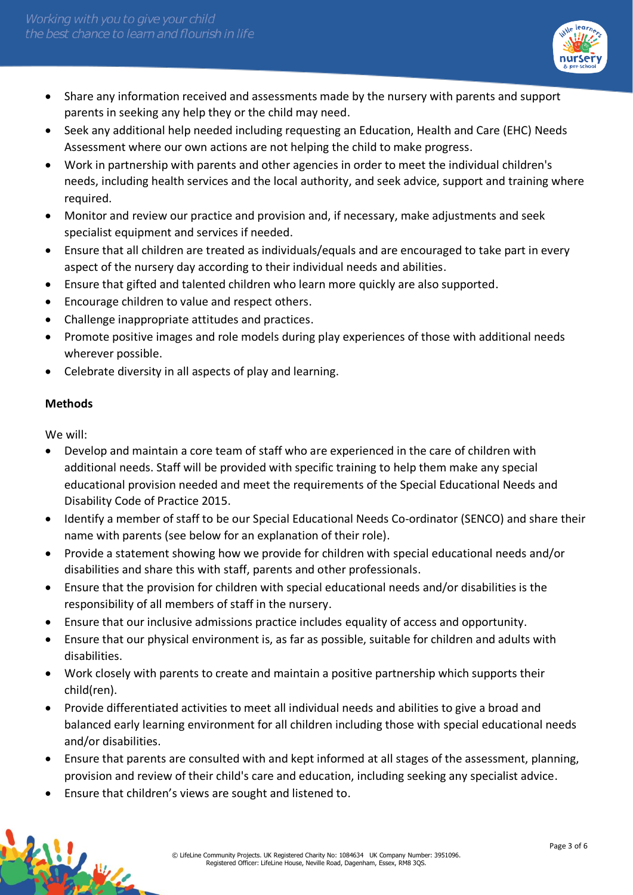

- Share any information received and assessments made by the nursery with parents and support parents in seeking any help they or the child may need.
- Seek any additional help needed including requesting an Education, Health and Care (EHC) Needs Assessment where our own actions are not helping the child to make progress.
- Work in partnership with parents and other agencies in order to meet the individual children's needs, including health services and the local authority, and seek advice, support and training where required.
- Monitor and review our practice and provision and, if necessary, make adjustments and seek specialist equipment and services if needed.
- Ensure that all children are treated as individuals/equals and are encouraged to take part in every aspect of the nursery day according to their individual needs and abilities.
- Ensure that gifted and talented children who learn more quickly are also supported.
- Encourage children to value and respect others.
- Challenge inappropriate attitudes and practices.
- Promote positive images and role models during play experiences of those with additional needs wherever possible.
- Celebrate diversity in all aspects of play and learning.

# **Methods**

We will:

- Develop and maintain a core team of staff who are experienced in the care of children with additional needs. Staff will be provided with specific training to help them make any special educational provision needed and meet the requirements of the Special Educational Needs and Disability Code of Practice 2015.
- Identify a member of staff to be our Special Educational Needs Co-ordinator (SENCO) and share their name with parents (see below for an explanation of their role).
- Provide a statement showing how we provide for children with special educational needs and/or disabilities and share this with staff, parents and other professionals.
- Ensure that the provision for children with special educational needs and/or disabilities is the responsibility of all members of staff in the nursery.
- Ensure that our inclusive admissions practice includes equality of access and opportunity.
- Ensure that our physical environment is, as far as possible, suitable for children and adults with disabilities.
- Work closely with parents to create and maintain a positive partnership which supports their child(ren).
- Provide differentiated activities to meet all individual needs and abilities to give a broad and balanced early learning environment for all children including those with special educational needs and/or disabilities.
- Ensure that parents are consulted with and kept informed at all stages of the assessment, planning, provision and review of their child's care and education, including seeking any specialist advice.
- Ensure that children's views are sought and listened to.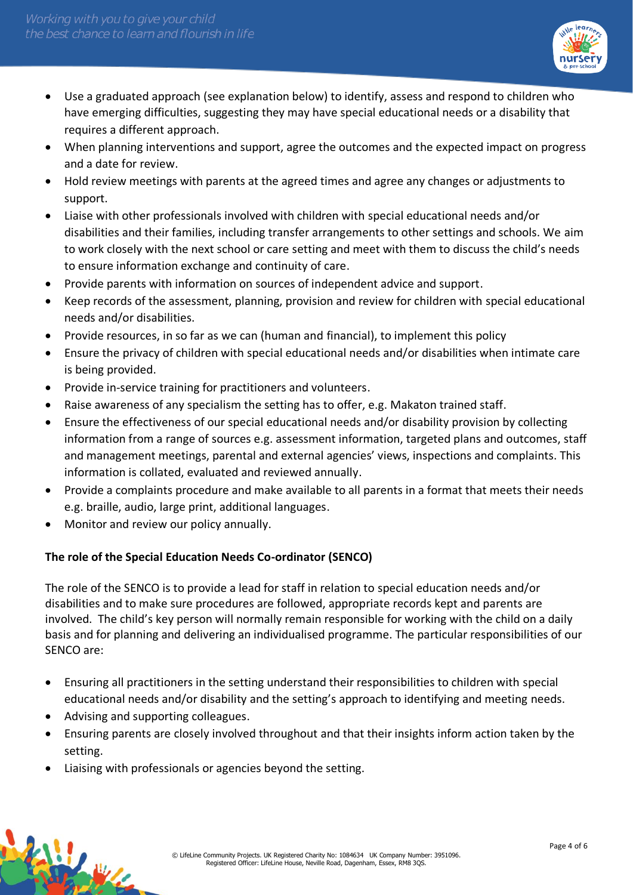

- Use a graduated approach (see explanation below) to identify, assess and respond to children who have emerging difficulties, suggesting they may have special educational needs or a disability that requires a different approach.
- When planning interventions and support, agree the outcomes and the expected impact on progress and a date for review.
- Hold review meetings with parents at the agreed times and agree any changes or adjustments to support.
- Liaise with other professionals involved with children with special educational needs and/or disabilities and their families, including transfer arrangements to other settings and schools. We aim to work closely with the next school or care setting and meet with them to discuss the child's needs to ensure information exchange and continuity of care.
- Provide parents with information on sources of independent advice and support.
- Keep records of the assessment, planning, provision and review for children with special educational needs and/or disabilities.
- Provide resources, in so far as we can (human and financial), to implement this policy
- Ensure the privacy of children with special educational needs and/or disabilities when intimate care is being provided.
- Provide in-service training for practitioners and volunteers.
- Raise awareness of any specialism the setting has to offer, e.g. Makaton trained staff.
- Ensure the effectiveness of our special educational needs and/or disability provision by collecting information from a range of sources e.g. assessment information, targeted plans and outcomes, staff and management meetings, parental and external agencies' views, inspections and complaints. This information is collated, evaluated and reviewed annually.
- Provide a complaints procedure and make available to all parents in a format that meets their needs e.g. braille, audio, large print, additional languages.
- Monitor and review our policy annually.

# **The role of the Special Education Needs Co-ordinator (SENCO)**

The role of the SENCO is to provide a lead for staff in relation to special education needs and/or disabilities and to make sure procedures are followed, appropriate records kept and parents are involved. The child's key person will normally remain responsible for working with the child on a daily basis and for planning and delivering an individualised programme. The particular responsibilities of our SENCO are:

- Ensuring all practitioners in the setting understand their responsibilities to children with special educational needs and/or disability and the setting's approach to identifying and meeting needs.
- Advising and supporting colleagues.
- Ensuring parents are closely involved throughout and that their insights inform action taken by the setting.
- Liaising with professionals or agencies beyond the setting.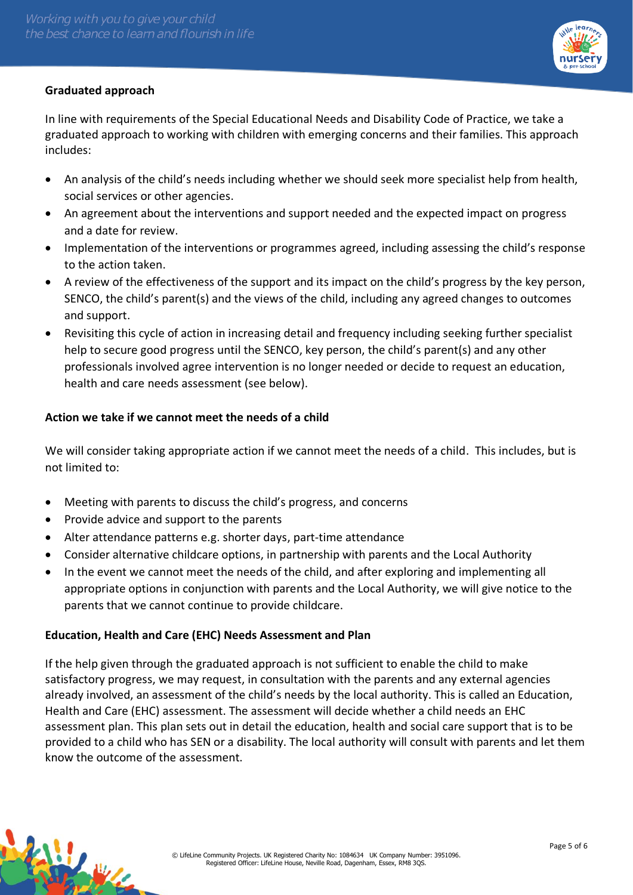

In line with requirements of the Special Educational Needs and Disability Code of Practice, we take a graduated approach to working with children with emerging concerns and their families. This approach includes:

- An analysis of the child's needs including whether we should seek more specialist help from health, social services or other agencies.
- An agreement about the interventions and support needed and the expected impact on progress and a date for review.
- Implementation of the interventions or programmes agreed, including assessing the child's response to the action taken.
- A review of the effectiveness of the support and its impact on the child's progress by the key person, SENCO, the child's parent(s) and the views of the child, including any agreed changes to outcomes and support.
- Revisiting this cycle of action in increasing detail and frequency including seeking further specialist help to secure good progress until the SENCO, key person, the child's parent(s) and any other professionals involved agree intervention is no longer needed or decide to request an education, health and care needs assessment (see below).

# **Action we take if we cannot meet the needs of a child**

We will consider taking appropriate action if we cannot meet the needs of a child. This includes, but is not limited to:

- Meeting with parents to discuss the child's progress, and concerns
- Provide advice and support to the parents
- Alter attendance patterns e.g. shorter days, part-time attendance
- Consider alternative childcare options, in partnership with parents and the Local Authority
- In the event we cannot meet the needs of the child, and after exploring and implementing all appropriate options in conjunction with parents and the Local Authority, we will give notice to the parents that we cannot continue to provide childcare.

# **Education, Health and Care (EHC) Needs Assessment and Plan**

If the help given through the graduated approach is not sufficient to enable the child to make satisfactory progress, we may request, in consultation with the parents and any external agencies already involved, an assessment of the child's needs by the local authority. This is called an Education, Health and Care (EHC) assessment. The assessment will decide whether a child needs an EHC assessment plan. This plan sets out in detail the education, health and social care support that is to be provided to a child who has SEN or a disability. The local authority will consult with parents and let them know the outcome of the assessment.